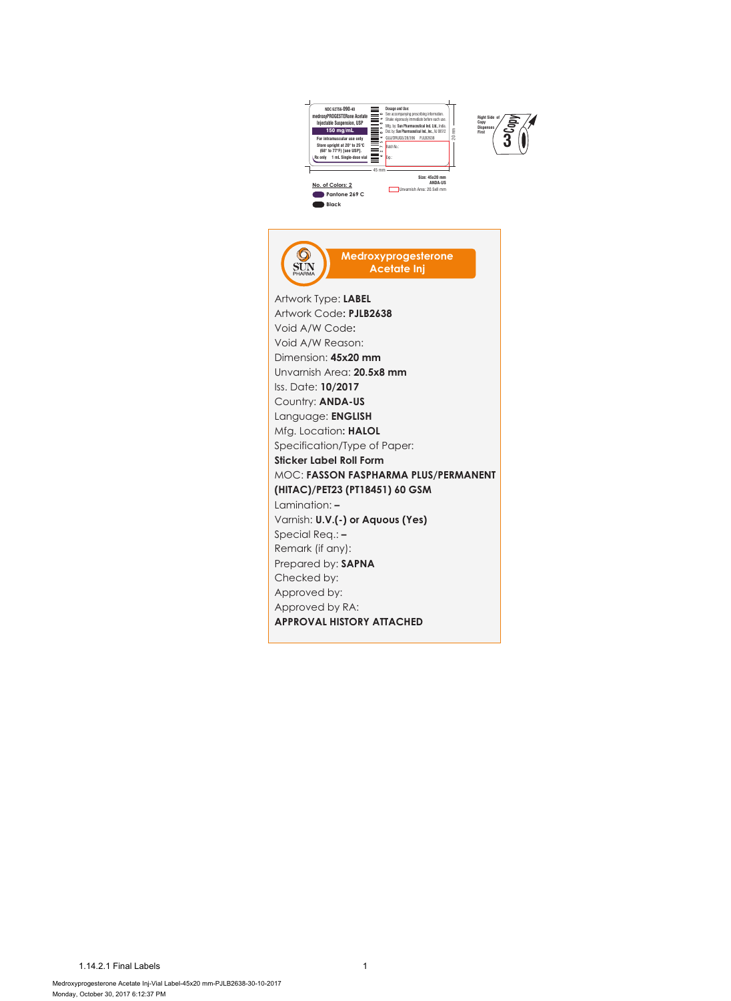



 $\bigotimes_{\text{PIARMA}}$ **Medroxyprogesterone Acetate Inj** Artwork Type: **LABEL** Artwork Code**: PJLB2638** Void A/W Code**:** Void A/W Reason: Dimension: **45x20 mm** Unvarnish Area: **20.5x8 mm** Iss. Date: **10/2017** Country: **ANDA-US** Language: **ENGLISH** Mfg. Location**: HALOL** Specification/Type of Paper: **Sticker Label Roll Form** MOC: **FASSON FASPHARMA PLUS/PERMANENT (HITAC)/PET23 (PT18451) 60 GSM** Lamination: **– Varnish: <b>U.V.(-) or Aquous (Yes)** Special Req.: **–**  Remark (if any): Prepared by: **SAPNA** Checked by: Approved by: Approved by RA: **APPROVAL HISTORY ATTACHED**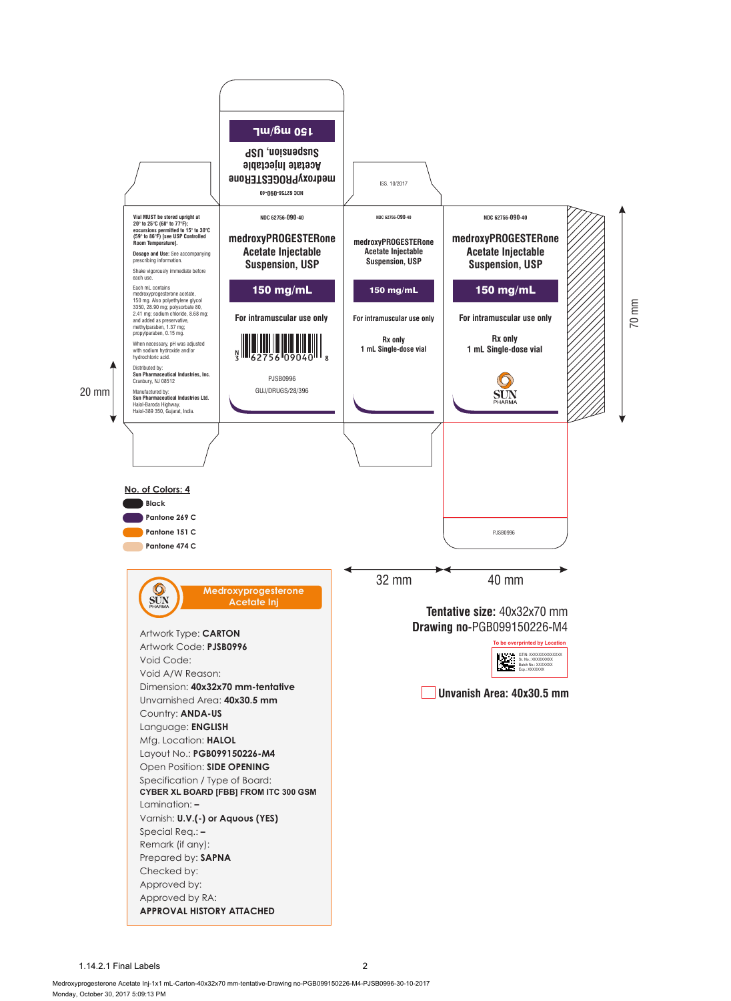

1.14.2.1 Final Labels 2